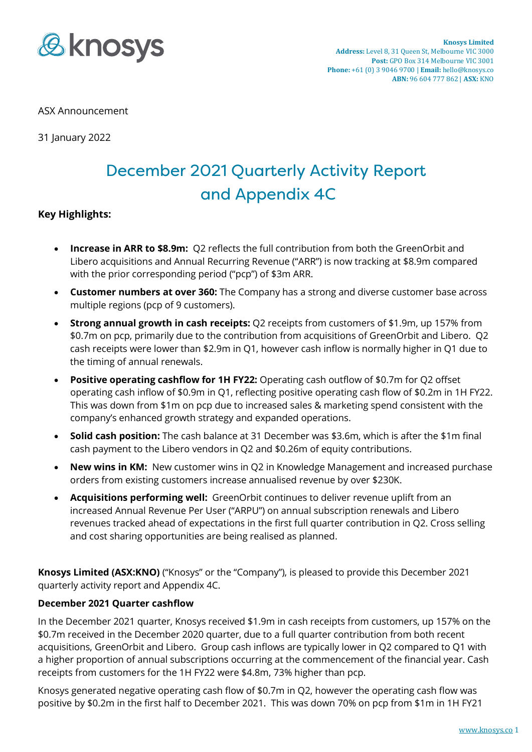

#### ASX Announcement

31 January 2022

# December 2021 Quarterly Activity Report and Appendix 4C

#### **Key Highlights:**

- **Increase in ARR to \$8.9m:** Q2 reflects the full contribution from both the GreenOrbit and Libero acquisitions and Annual Recurring Revenue ("ARR") is now tracking at \$8.9m compared with the prior corresponding period ("pcp") of \$3m ARR.
- **Customer numbers at over 360:** The Company has a strong and diverse customer base across multiple regions (pcp of 9 customers).
- **Strong annual growth in cash receipts:** Q2 receipts from customers of \$1.9m, up 157% from \$0.7m on pcp, primarily due to the contribution from acquisitions of GreenOrbit and Libero. Q2 cash receipts were lower than \$2.9m in Q1, however cash inflow is normally higher in Q1 due to the timing of annual renewals.
- **Positive operating cashflow for 1H FY22:** Operating cash outflow of \$0.7m for Q2 offset operating cash inflow of \$0.9m in Q1, reflecting positive operating cash flow of \$0.2m in 1H FY22. This was down from \$1m on pcp due to increased sales & marketing spend consistent with the company's enhanced growth strategy and expanded operations.
- **Solid cash position:** The cash balance at 31 December was \$3.6m, which is after the \$1m final cash payment to the Libero vendors in Q2 and \$0.26m of equity contributions.
- **New wins in KM:** New customer wins in Q2 in Knowledge Management and increased purchase orders from existing customers increase annualised revenue by over \$230K.
- **Acquisitions performing well:** GreenOrbit continues to deliver revenue uplift from an increased Annual Revenue Per User ("ARPU") on annual subscription renewals and Libero revenues tracked ahead of expectations in the first full quarter contribution in Q2. Cross selling and cost sharing opportunities are being realised as planned.

**Knosys Limited (ASX:KNO)** ("Knosys" or the "Company"), is pleased to provide this December 2021 quarterly activity report and Appendix 4C.

#### **December 2021 Quarter cashflow**

In the December 2021 quarter, Knosys received \$1.9m in cash receipts from customers, up 157% on the \$0.7m received in the December 2020 quarter, due to a full quarter contribution from both recent acquisitions, GreenOrbit and Libero. Group cash inflows are typically lower in Q2 compared to Q1 with a higher proportion of annual subscriptions occurring at the commencement of the financial year. Cash receipts from customers for the 1H FY22 were \$4.8m, 73% higher than pcp.

Knosys generated negative operating cash flow of \$0.7m in Q2, however the operating cash flow was positive by \$0.2m in the first half to December 2021. This was down 70% on pcp from \$1m in 1H FY21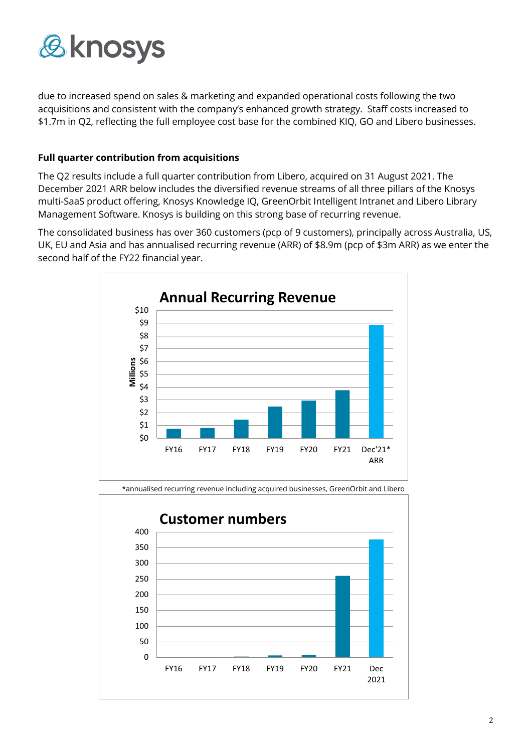

due to increased spend on sales & marketing and expanded operational costs following the two acquisitions and consistent with the company's enhanced growth strategy. Staff costs increased to \$1.7m in Q2, reflecting the full employee cost base for the combined KIQ, GO and Libero businesses.

#### **Full quarter contribution from acquisitions**

The Q2 results include a full quarter contribution from Libero, acquired on 31 August 2021. The December 2021 ARR below includes the diversified revenue streams of all three pillars of the Knosys multi-SaaS product offering, Knosys Knowledge IQ, GreenOrbit Intelligent Intranet and Libero Library Management Software. Knosys is building on this strong base of recurring revenue.

The consolidated business has over 360 customers (pcp of 9 customers), principally across Australia, US, UK, EU and Asia and has annualised recurring revenue (ARR) of \$8.9m (pcp of \$3m ARR) as we enter the second half of the FY22 financial year.





\*annualised recurring revenue including acquired businesses, GreenOrbit and Libero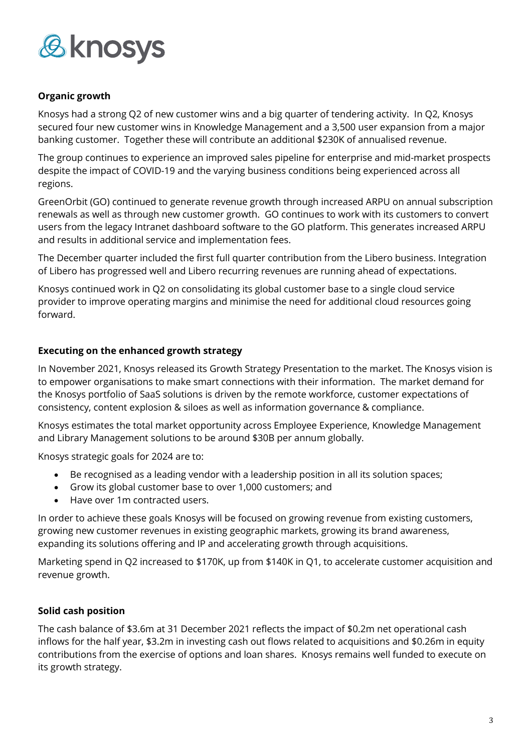

#### **Organic growth**

Knosys had a strong Q2 of new customer wins and a big quarter of tendering activity. In Q2, Knosys secured four new customer wins in Knowledge Management and a 3,500 user expansion from a major banking customer. Together these will contribute an additional \$230K of annualised revenue.

The group continues to experience an improved sales pipeline for enterprise and mid-market prospects despite the impact of COVID-19 and the varying business conditions being experienced across all regions.

GreenOrbit (GO) continued to generate revenue growth through increased ARPU on annual subscription renewals as well as through new customer growth. GO continues to work with its customers to convert users from the legacy Intranet dashboard software to the GO platform. This generates increased ARPU and results in additional service and implementation fees.

The December quarter included the first full quarter contribution from the Libero business. Integration of Libero has progressed well and Libero recurring revenues are running ahead of expectations.

Knosys continued work in Q2 on consolidating its global customer base to a single cloud service provider to improve operating margins and minimise the need for additional cloud resources going forward.

#### **Executing on the enhanced growth strategy**

In November 2021, Knosys released its Growth Strategy Presentation to the market. The Knosys vision is to empower organisations to make smart connections with their information. The market demand for the Knosys portfolio of SaaS solutions is driven by the remote workforce, customer expectations of consistency, content explosion & siloes as well as information governance & compliance.

Knosys estimates the total market opportunity across Employee Experience, Knowledge Management and Library Management solutions to be around \$30B per annum globally.

Knosys strategic goals for 2024 are to:

- Be recognised as a leading vendor with a leadership position in all its solution spaces;
- Grow its global customer base to over 1,000 customers; and
- Have over 1m contracted users.

In order to achieve these goals Knosys will be focused on growing revenue from existing customers, growing new customer revenues in existing geographic markets, growing its brand awareness, expanding its solutions offering and IP and accelerating growth through acquisitions.

Marketing spend in Q2 increased to \$170K, up from \$140K in Q1, to accelerate customer acquisition and revenue growth.

#### **Solid cash position**

The cash balance of \$3.6m at 31 December 2021 reflects the impact of \$0.2m net operational cash inflows for the half year, \$3.2m in investing cash out flows related to acquisitions and \$0.26m in equity contributions from the exercise of options and loan shares. Knosys remains well funded to execute on its growth strategy.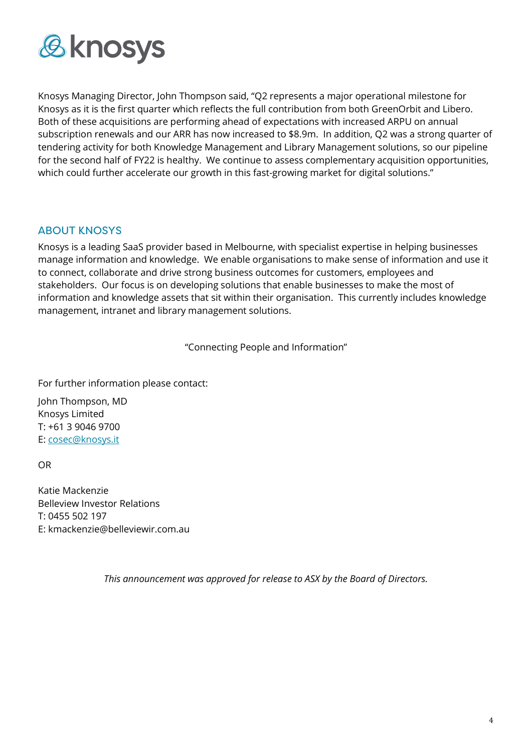

Knosys Managing Director, John Thompson said, "Q2 represents a major operational milestone for Knosys as it is the first quarter which reflects the full contribution from both GreenOrbit and Libero. Both of these acquisitions are performing ahead of expectations with increased ARPU on annual subscription renewals and our ARR has now increased to \$8.9m. In addition, Q2 was a strong quarter of tendering activity for both Knowledge Management and Library Management solutions, so our pipeline for the second half of FY22 is healthy. We continue to assess complementary acquisition opportunities, which could further accelerate our growth in this fast-growing market for digital solutions."

### ABOUT KNOSYS

Knosys is a leading SaaS provider based in Melbourne, with specialist expertise in helping businesses manage information and knowledge. We enable organisations to make sense of information and use it to connect, collaborate and drive strong business outcomes for customers, employees and stakeholders. Our focus is on developing solutions that enable businesses to make the most of information and knowledge assets that sit within their organisation. This currently includes knowledge management, intranet and library management solutions.

"Connecting People and Information"

For further information please contact:

John Thompson, MD Knosys Limited T: +61 3 9046 9700 E: [cosec@knosys.it](about:blank)

OR

Katie Mackenzie Belleview Investor Relations T: 0455 502 197 E: kmackenzie@belleviewir.com.au

*This announcement was approved for release to ASX by the Board of Directors.*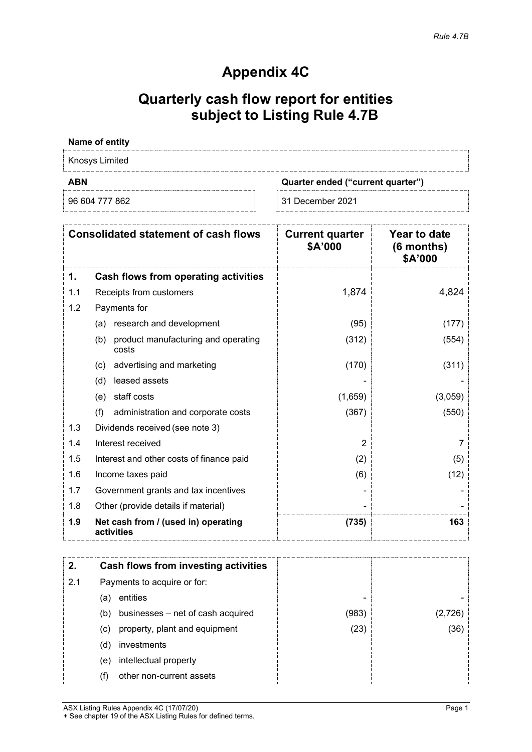## **Appendix 4C**

## **Quarterly cash flow report for entities subject to Listing Rule 4.7B**

#### **Name of entity**

Knosys Limited

**ABN Quarter ended ("current quarter")**

96 604 777 862 31 December 2021

| <b>Consolidated statement of cash flows</b> |                                                     | <b>Current quarter</b><br>\$A'000 | Year to date<br>(6 months)<br>\$A'000 |
|---------------------------------------------|-----------------------------------------------------|-----------------------------------|---------------------------------------|
| 1.                                          | Cash flows from operating activities                |                                   |                                       |
| 1.1                                         | Receipts from customers                             | 1,874                             | 4,824                                 |
| 1.2                                         | Payments for                                        |                                   |                                       |
|                                             | research and development<br>(a)                     | (95)                              | (177)                                 |
|                                             | product manufacturing and operating<br>(b)<br>costs | (312)                             | (554)                                 |
|                                             | advertising and marketing<br>(c)                    | (170)                             | (311)                                 |
|                                             | leased assets<br>(d)                                |                                   |                                       |
|                                             | staff costs<br>(e)                                  | (1,659)                           | (3,059)                               |
|                                             | (f)<br>administration and corporate costs           | (367)                             | (550)                                 |
| 1.3                                         | Dividends received (see note 3)                     |                                   |                                       |
| 1.4                                         | Interest received                                   | 2                                 |                                       |
| 1.5                                         | Interest and other costs of finance paid            | (2)                               | (5)                                   |
| 1.6                                         | Income taxes paid                                   | (6)                               | (12)                                  |
| 1.7                                         | Government grants and tax incentives                |                                   |                                       |
| 1.8                                         | Other (provide details if material)                 |                                   |                                       |
| 1.9                                         | Net cash from / (used in) operating<br>activities   | (735)                             | 163                                   |

| 2.  |     | Cash flows from investing activities |       |      |
|-----|-----|--------------------------------------|-------|------|
| 2.1 |     | Payments to acquire or for:          |       |      |
|     | (a) | entities                             |       |      |
|     | (b) | businesses – net of cash acquired    | (983) |      |
|     | (C) | property, plant and equipment        | (23)  | (36) |
|     | (d) | investments                          |       |      |
|     | (e) | intellectual property                |       |      |
|     |     | other non-current assets             |       |      |

ASX Listing Rules Appendix 4C (17/07/20) Page 1 + See chapter 19 of the ASX Listing Rules for defined terms.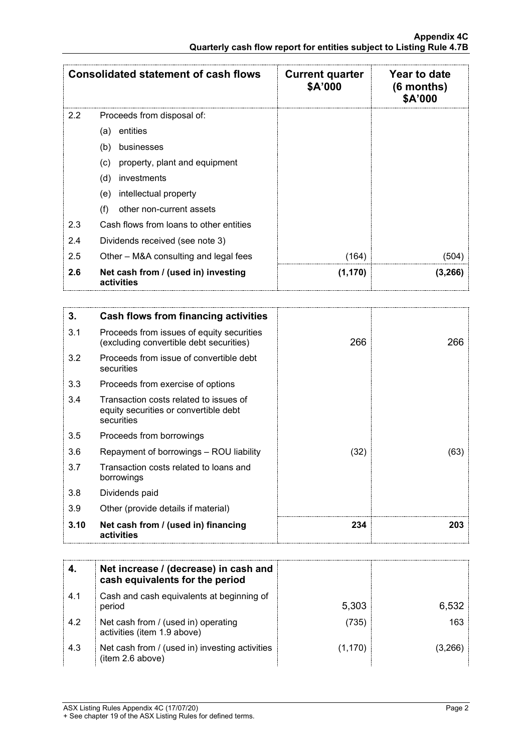|     | <b>Consolidated statement of cash flows</b>       | <b>Current quarter</b><br>\$A'000 | <b>Year to date</b><br>$(6$ months)<br>\$A'000 |
|-----|---------------------------------------------------|-----------------------------------|------------------------------------------------|
| 2.2 | Proceeds from disposal of:                        |                                   |                                                |
|     | entities<br>(a)                                   |                                   |                                                |
|     | (b)<br>businesses                                 |                                   |                                                |
|     | property, plant and equipment<br>(c)              |                                   |                                                |
|     | (d)<br>investments                                |                                   |                                                |
|     | intellectual property<br>(e)                      |                                   |                                                |
|     | other non-current assets<br>(f)                   |                                   |                                                |
| 2.3 | Cash flows from loans to other entities           |                                   |                                                |
| 2.4 | Dividends received (see note 3)                   |                                   |                                                |
| 2.5 | Other – M&A consulting and legal fees             | (164)                             | (504)                                          |
| 2.6 | Net cash from / (used in) investing<br>activities | (1, 170)                          | (3,266)                                        |

| 3.   | <b>Cash flows from financing activities</b>                                                   |      |      |
|------|-----------------------------------------------------------------------------------------------|------|------|
| 3.1  | Proceeds from issues of equity securities<br>(excluding convertible debt securities)          | 266  | 266  |
| 3.2  | Proceeds from issue of convertible debt<br>securities                                         |      |      |
| 3.3  | Proceeds from exercise of options                                                             |      |      |
| 3.4  | Transaction costs related to issues of<br>equity securities or convertible debt<br>securities |      |      |
| 3.5  | Proceeds from borrowings                                                                      |      |      |
| 3.6  | Repayment of borrowings - ROU liability                                                       | (32) | (63) |
| 3.7  | Transaction costs related to loans and<br>borrowings                                          |      |      |
| 3.8  | Dividends paid                                                                                |      |      |
| 3.9  | Other (provide details if material)                                                           |      |      |
| 3.10 | Net cash from / (used in) financing<br>activities                                             | 234  | 203  |

|     | Net increase / (decrease) in cash and<br>cash equivalents for the period |         |       |
|-----|--------------------------------------------------------------------------|---------|-------|
| 4.1 | Cash and cash equivalents at beginning of<br>period                      | 5,303   | 6,532 |
| 4.2 | Net cash from / (used in) operating<br>activities (item 1.9 above)       | (735)   | 163   |
| 4.3 | Net cash from / (used in) investing activities<br>(item 2.6 above)       | (1,170) |       |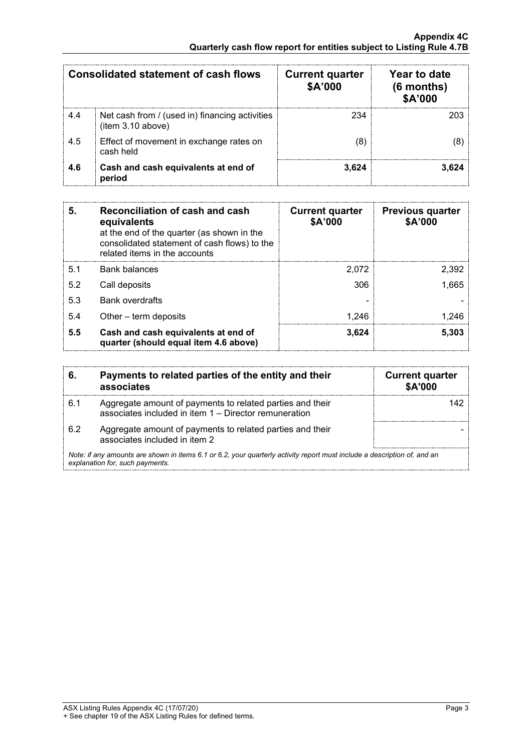| <b>Consolidated statement of cash flows</b> |                                                                     | Year to date<br><b>Current quarter</b><br>\$A'000<br>$(6$ months)<br>\$A'000 |  |
|---------------------------------------------|---------------------------------------------------------------------|------------------------------------------------------------------------------|--|
| 4.4                                         | Net cash from / (used in) financing activities<br>(item 3.10 above) | 234                                                                          |  |
| 4.5                                         | Effect of movement in exchange rates on<br>cash held                |                                                                              |  |
| 4.6                                         | Cash and cash equivalents at end of<br>period                       | 3.624                                                                        |  |

| 5.  | Reconciliation of cash and cash<br>equivalents<br>at the end of the quarter (as shown in the<br>consolidated statement of cash flows) to the<br>related items in the accounts | <b>Current quarter</b><br>\$A'000 | <b>Previous quarter</b><br>\$A'000 |
|-----|-------------------------------------------------------------------------------------------------------------------------------------------------------------------------------|-----------------------------------|------------------------------------|
| 5.1 | <b>Bank balances</b>                                                                                                                                                          | 2.072                             | 2,392                              |
| 5.2 | Call deposits                                                                                                                                                                 | 306                               | 1.665                              |
| 5.3 | <b>Bank overdrafts</b>                                                                                                                                                        |                                   |                                    |
| 5.4 | Other – term deposits                                                                                                                                                         | 1.246                             |                                    |
| 5.5 | Cash and cash equivalents at end of<br>quarter (should equal item 4.6 above)                                                                                                  | 3,624                             | 5,303                              |

|                                                                                                                                                             | Payments to related parties of the entity and their<br>associates                                                  | <b>Current quarter</b><br><b>\$A'000</b> |
|-------------------------------------------------------------------------------------------------------------------------------------------------------------|--------------------------------------------------------------------------------------------------------------------|------------------------------------------|
| 6.1                                                                                                                                                         | Aggregate amount of payments to related parties and their<br>associates included in item 1 – Director remuneration |                                          |
| 62                                                                                                                                                          | Aggregate amount of payments to related parties and their<br>associates included in item 2                         |                                          |
| Note: if any amounts are shown in items 6.1 or 6.2, your quarterly activity report must include a description of, and an<br>explanation for, such payments. |                                                                                                                    |                                          |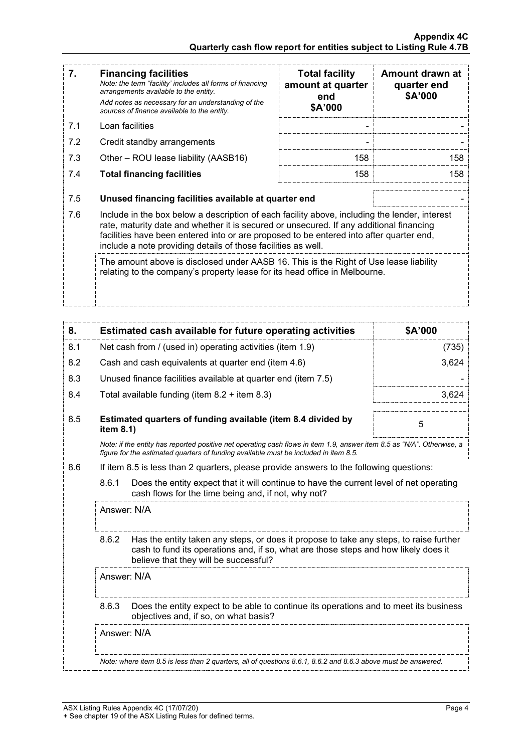| 7.  | <b>Financing facilities</b><br>Note: the term "facility' includes all forms of financing<br>arrangements available to the entity.<br>Add notes as necessary for an understanding of the<br>sources of finance available to the entity.                                                                                                               | <b>Total facility</b><br>amount at quarter<br>end<br>\$A'000 | Amount drawn at<br>quarter end<br>\$A'000 |  |
|-----|------------------------------------------------------------------------------------------------------------------------------------------------------------------------------------------------------------------------------------------------------------------------------------------------------------------------------------------------------|--------------------------------------------------------------|-------------------------------------------|--|
| 7.1 | Loan facilities                                                                                                                                                                                                                                                                                                                                      |                                                              |                                           |  |
| 7.2 | Credit standby arrangements                                                                                                                                                                                                                                                                                                                          |                                                              |                                           |  |
| 7.3 | Other – ROU lease liability (AASB16)                                                                                                                                                                                                                                                                                                                 | 158                                                          | 158                                       |  |
| 7.4 | <b>Total financing facilities</b>                                                                                                                                                                                                                                                                                                                    | 158                                                          | 158                                       |  |
| 7.5 | Unused financing facilities available at quarter end                                                                                                                                                                                                                                                                                                 |                                                              |                                           |  |
| 7.6 | Include in the box below a description of each facility above, including the lender, interest<br>rate, maturity date and whether it is secured or unsecured. If any additional financing<br>facilities have been entered into or are proposed to be entered into after quarter end,<br>include a note providing details of those facilities as well. |                                                              |                                           |  |
|     | The amount above is disclosed under AASB 16. This is the Right of Use lease liability<br>relating to the company's property lease for its head office in Melbourne.                                                                                                                                                                                  |                                                              |                                           |  |

| 8.  | Estimated cash available for future operating activities                                                                                                                                                       | \$A'000 |
|-----|----------------------------------------------------------------------------------------------------------------------------------------------------------------------------------------------------------------|---------|
| 8.1 | Net cash from / (used in) operating activities (item 1.9)                                                                                                                                                      | 735     |
| 8.2 | Cash and cash equivalents at quarter end (item 4.6)                                                                                                                                                            | 3,624   |
| 8.3 | Unused finance facilities available at quarter end (item 7.5)                                                                                                                                                  |         |
| 8.4 | Total available funding (item $8.2 +$ item $8.3$ )                                                                                                                                                             |         |
| 8.5 | Estimated quarters of funding available (item 8.4 divided by<br>item $8.1$ )                                                                                                                                   | 5       |
|     | Note: if the entity has reported positive net operating cash flows in item 1.9, answer item 8.5 as "N/A". Otherwise, a<br>figure for the estimated guarters of funding available must be included in item 8.5. |         |

- 8.6 If item 8.5 is less than 2 quarters, please provide answers to the following questions:
	- 8.6.1 Does the entity expect that it will continue to have the current level of net operating cash flows for the time being and, if not, why not?

Answer: N/A

8.6.2 Has the entity taken any steps, or does it propose to take any steps, to raise further cash to fund its operations and, if so, what are those steps and how likely does it believe that they will be successful?

Answer: N/A

8.6.3 Does the entity expect to be able to continue its operations and to meet its business objectives and, if so, on what basis?

Answer: N/A

*Note: where item 8.5 is less than 2 quarters, all of questions 8.6.1, 8.6.2 and 8.6.3 above must be answered.*